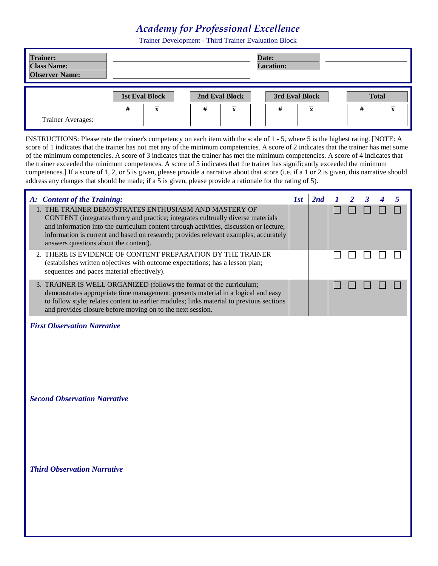## *Academy for Professional Excellence*

Trainer Development - Third Trainer Evaluation Block

| <b>Trainer:</b><br><b>Class Name:</b><br><b>Observer Name:</b> |   |                         |   |                         | Date:<br><b>Location:</b> |                         |              |   |
|----------------------------------------------------------------|---|-------------------------|---|-------------------------|---------------------------|-------------------------|--------------|---|
|                                                                |   | <b>1st Eval Block</b>   |   | 2nd Eval Block          | 3rd Eval Block            |                         | <b>Total</b> |   |
|                                                                | # | $\overline{\mathbf{x}}$ | # | $\overline{\mathbf{x}}$ | #                         | $\overline{\mathbf{x}}$ | #            | ́ |
| <b>Trainer Averages:</b>                                       |   |                         |   |                         |                           |                         |              |   |

INSTRUCTIONS: Please rate the trainer's competency on each item with the scale of 1 - 5, where 5 is the highest rating. [NOTE: A score of 1 indicates that the trainer has not met any of the minimum competencies. A score of 2 indicates that the trainer has met some of the minimum competencies. A score of 3 indicates that the trainer has met the minimum competencies. A score of 4 indicates that the trainer exceeded the minimum competences. A score of 5 indicates that the trainer has significantly exceeded the minimum competences.] If a score of 1, 2, or 5 is given, please provide a narrative about that score (i.e. if a 1 or 2 is given, this narrative should address any changes that should be made; if a 5 is given, please provide a rationale for the rating of 5).

| A: Content of the Training:                                                                                                                                                                                                                                                                                                                                         | $\overline{a}$ |  |  |  |
|---------------------------------------------------------------------------------------------------------------------------------------------------------------------------------------------------------------------------------------------------------------------------------------------------------------------------------------------------------------------|----------------|--|--|--|
| 1. THE TRAINER DEMOSTRATES ENTHUSIASM AND MASTERY OF<br>CONTENT (integrates theory and practice; integrates cultrually diverse materials<br>and information into the curriculum content through activities, discussion or lecture;<br>information is current and based on research; provides relevant examples; accurately<br>answers questions about the content). |                |  |  |  |
| 2. THERE IS EVIDENCE OF CONTENT PREPARATION BY THE TRAINER<br>(establishes written objectives with outcome expectations; has a lesson plan;<br>sequences and paces material effectively).                                                                                                                                                                           |                |  |  |  |
| 3. TRAINER IS WELL ORGANIZED (follows the format of the curriculum;<br>demonstrates appropriate time management; presents material in a logical and easy<br>to follow style; relates content to earlier modules; links material to previous sections<br>and provides closure before moving on to the next session.                                                  |                |  |  |  |

## *First Observation Narrative*

*Second Observation Narrative*

*Third Observation Narrative*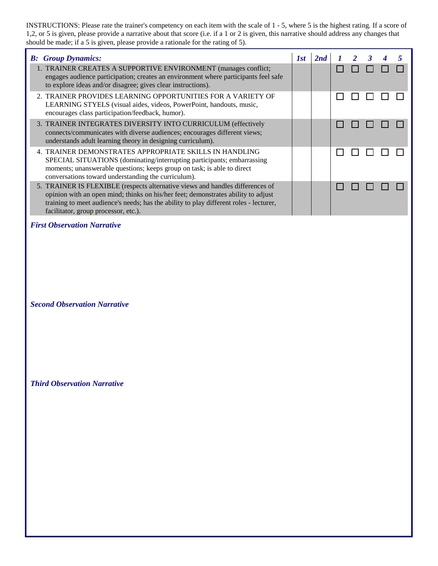INSTRUCTIONS: Please rate the trainer's competency on each item with the scale of 1 - 5, where 5 is the highest rating. If a score of 1,2, or 5 is given, please provide a narrative about that score (i.e. if a 1 or 2 is given, this narrative should address any changes that should be made; if a 5 is given, please provide a rationale for the rating of 5).

| <b>B:</b> Group Dynamics:                                                                                                                                                                                                                                                                            | 1st | 2nd | $2 \quad 3$ |  |  |
|------------------------------------------------------------------------------------------------------------------------------------------------------------------------------------------------------------------------------------------------------------------------------------------------------|-----|-----|-------------|--|--|
| 1. TRAINER CREATES A SUPPORTIVE ENVIRONMENT (manages conflict;<br>engages audience participation; creates an environment where participants feel safe<br>to explore ideas and/or disagree; gives clear instructions).                                                                                |     |     |             |  |  |
| 2. TRAINER PROVIDES LEARNING OPPORTUNITIES FOR A VARIETY OF<br>LEARNING STYELS (visual aides, videos, PowerPoint, handouts, music,<br>encourages class participation/feedback, humor).                                                                                                               |     |     |             |  |  |
| 3. TRAINER INTEGRATES DIVERSITY INTO CURRICULUM (effectively<br>connects/communicates with diverse audiences; encourages different views;<br>understands adult learning theory in designing curriculum).                                                                                             |     |     |             |  |  |
| 4. TRAINER DEMONSTRATES APPROPRIATE SKILLS IN HANDLING<br>SPECIAL SITUATIONS (dominating/interrupting participants; embarrassing<br>moments; unanswerable questions; keeps group on task; is able to direct<br>conversations toward understanding the curriculum).                                   |     |     |             |  |  |
| 5. TRAINER IS FLEXIBLE (respects alternative views and handles differences of<br>opinion with an open mind; thinks on his/her feet; demonstrates ability to adjust<br>training to meet audience's needs; has the ability to play different roles - lecturer,<br>facilitator, group processor, etc.). |     |     |             |  |  |

## *First Observation Narrative*

*Second Observation Narrative*

*Third Observation Narrative*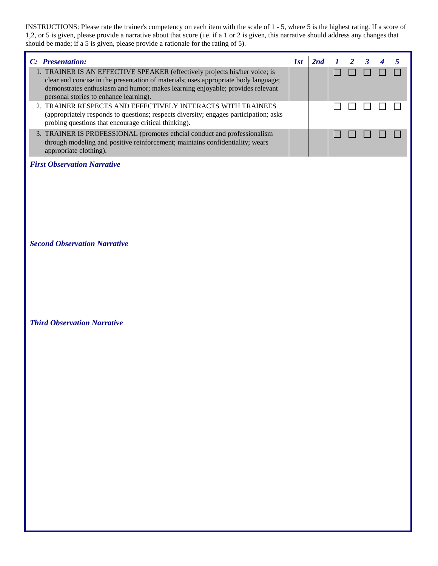INSTRUCTIONS: Please rate the trainer's competency on each item with the scale of 1 - 5, where 5 is the highest rating. If a score of 1,2, or 5 is given, please provide a narrative about that score (i.e. if a 1 or 2 is given, this narrative should address any changes that should be made; if a 5 is given, please provide a rationale for the rating of 5).

| C: Presentation:                                                                                                                                                                                                                                                                              | 181 |  | $1 \quad 2 \quad 3$ |  |  |
|-----------------------------------------------------------------------------------------------------------------------------------------------------------------------------------------------------------------------------------------------------------------------------------------------|-----|--|---------------------|--|--|
| 1. TRAINER IS AN EFFECTIVE SPEAKER (effectively projects his/her voice; is<br>clear and concise in the presentation of materials; uses appropriate body language;<br>demonstrates enthusiasm and humor; makes learning enjoyable; provides relevant<br>personal stories to enhance learning). |     |  |                     |  |  |
| 2. TRAINER RESPECTS AND EFFECTIVELY INTERACTS WITH TRAINEES<br>(appropriately responds to questions; respects diversity; engages participation; asks<br>probing questions that encourage critical thinking).                                                                                  |     |  |                     |  |  |
| 3. TRAINER IS PROFESSIONAL (promotes ethcial conduct and professionalism)<br>through modeling and positive reinforcement; maintains confidentiality; wears<br>appropriate clothing).                                                                                                          |     |  |                     |  |  |

*First Observation Narrative*

*Second Observation Narrative*

*Third Observation Narrative*